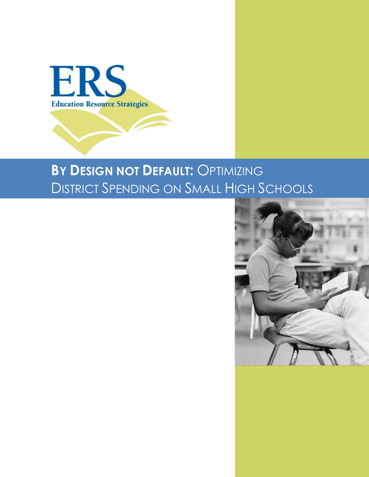

# **BY DESIGN NOT DEFAULT:** OPTIMIZING DISTRICT SPENDING ON SMALL HIGH SCHOOLS

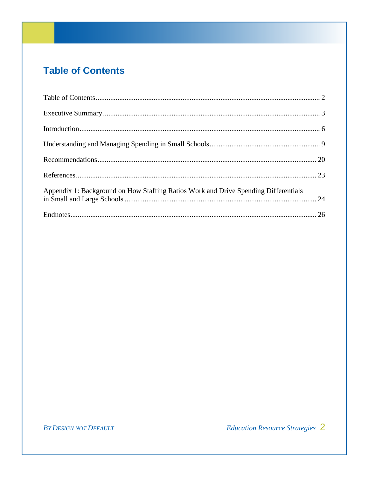## <span id="page-1-0"></span>**Table of Contents**

| Appendix 1: Background on How Staffing Ratios Work and Drive Spending Differentials |  |
|-------------------------------------------------------------------------------------|--|
|                                                                                     |  |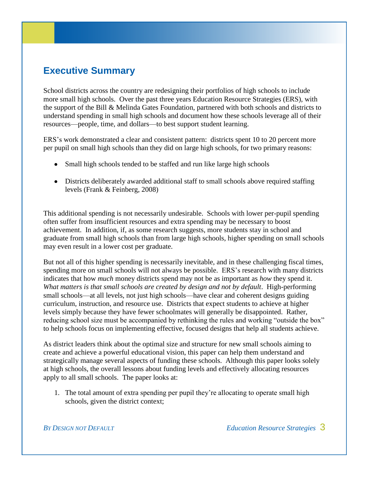## <span id="page-2-0"></span>**Executive Summary**

School districts across the country are redesigning their portfolios of high schools to include more small high schools. Over the past three years Education Resource Strategies (ERS), with the support of the Bill & Melinda Gates Foundation, partnered with both schools and districts to understand spending in small high schools and document how these schools leverage all of their resources—people, time, and dollars—to best support student learning.

ERS's work demonstrated a clear and consistent pattern: districts spent 10 to 20 percent more per pupil on small high schools than they did on large high schools, for two primary reasons:

- Small high schools tended to be staffed and run like large high schools
- Districts deliberately awarded additional staff to small schools above required staffing levels (Frank & Feinberg, 2008)

This additional spending is not necessarily undesirable. Schools with lower per-pupil spending often suffer from insufficient resources and extra spending may be necessary to boost achievement. In addition, if, as some research suggests, more students stay in school and graduate from small high schools than from large high schools, higher spending on small schools may even result in a lower cost per graduate.

But not all of this higher spending is necessarily inevitable, and in these challenging fiscal times, spending more on small schools will not always be possible. ERS's research with many districts indicates that how *much* money districts spend may not be as important as *how* they spend it. *What matters is that small schools are created by design and not by default*. High-performing small schools—at all levels, not just high schools—have clear and coherent designs guiding curriculum, instruction, and resource use. Districts that expect students to achieve at higher levels simply because they have fewer schoolmates will generally be disappointed. Rather, reducing school size must be accompanied by rethinking the rules and working "outside the box" to help schools focus on implementing effective, focused designs that help all students achieve.

As district leaders think about the optimal size and structure for new small schools aiming to create and achieve a powerful educational vision, this paper can help them understand and strategically manage several aspects of funding these schools. Although this paper looks solely at high schools, the overall lessons about funding levels and effectively allocating resources apply to all small schools. The paper looks at:

1. The total amount of extra spending per pupil they're allocating to operate small high schools, given the district context;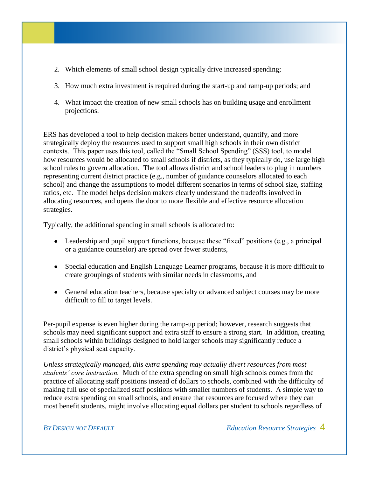- 2. Which elements of small school design typically drive increased spending;
- 3. How much extra investment is required during the start-up and ramp-up periods; and
- 4. What impact the creation of new small schools has on building usage and enrollment projections.

ERS has developed a tool to help decision makers better understand, quantify, and more strategically deploy the resources used to support small high schools in their own district contexts. This paper uses this tool, called the "Small School Spending" (SSS) tool, to model how resources would be allocated to small schools if districts, as they typically do, use large high school rules to govern allocation. The tool allows district and school leaders to plug in numbers representing current district practice (e.g., number of guidance counselors allocated to each school) and change the assumptions to model different scenarios in terms of school size, staffing ratios, etc. The model helps decision makers clearly understand the tradeoffs involved in allocating resources, and opens the door to more flexible and effective resource allocation strategies.

Typically, the additional spending in small schools is allocated to:

- Leadership and pupil support functions, because these "fixed" positions (e.g., a principal or a guidance counselor) are spread over fewer students,
- Special education and English Language Learner programs, because it is more difficult to create groupings of students with similar needs in classrooms, and
- General education teachers, because specialty or advanced subject courses may be more difficult to fill to target levels.

Per-pupil expense is even higher during the ramp-up period; however, research suggests that schools may need significant support and extra staff to ensure a strong start. In addition, creating small schools within buildings designed to hold larger schools may significantly reduce a district's physical seat capacity.

*Unless strategically managed, this extra spending may actually divert resources from most students' core instruction.* Much of the extra spending on small high schools comes from the practice of allocating staff positions instead of dollars to schools, combined with the difficulty of making full use of specialized staff positions with smaller numbers of students. A simple way to reduce extra spending on small schools, and ensure that resources are focused where they can most benefit students, might involve allocating equal dollars per student to schools regardless of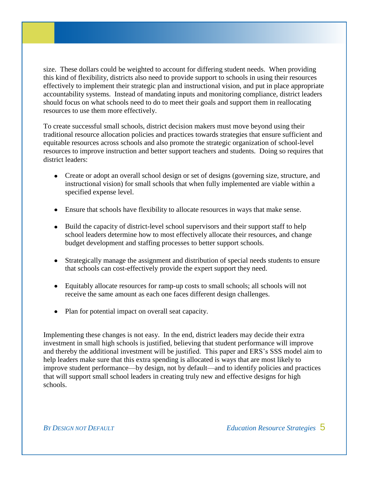size. These dollars could be weighted to account for differing student needs. When providing this kind of flexibility, districts also need to provide support to schools in using their resources effectively to implement their strategic plan and instructional vision, and put in place appropriate accountability systems. Instead of mandating inputs and monitoring compliance, district leaders should focus on what schools need to do to meet their goals and support them in reallocating resources to use them more effectively.

To create successful small schools, district decision makers must move beyond using their traditional resource allocation policies and practices towards strategies that ensure sufficient and equitable resources across schools and also promote the strategic organization of school-level resources to improve instruction and better support teachers and students. Doing so requires that district leaders:

- Create or adopt an overall school design or set of designs (governing size, structure, and instructional vision) for small schools that when fully implemented are viable within a specified expense level.
- Ensure that schools have flexibility to allocate resources in ways that make sense.
- Build the capacity of district-level school supervisors and their support staff to help school leaders determine how to most effectively allocate their resources, and change budget development and staffing processes to better support schools.
- Strategically manage the assignment and distribution of special needs students to ensure that schools can cost-effectively provide the expert support they need.
- Equitably allocate resources for ramp-up costs to small schools; all schools will not receive the same amount as each one faces different design challenges.
- Plan for potential impact on overall seat capacity.

Implementing these changes is not easy. In the end, district leaders may decide their extra investment in small high schools is justified, believing that student performance will improve and thereby the additional investment will be justified. This paper and ERS's SSS model aim to help leaders make sure that this extra spending is allocated is ways that are most likely to improve student performance—by design, not by default—and to identify policies and practices that will support small school leaders in creating truly new and effective designs for high schools.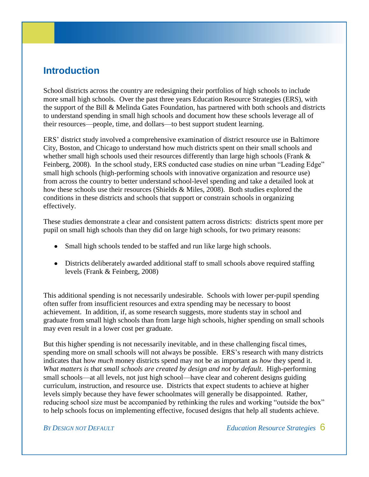## <span id="page-5-0"></span>**Introduction**

School districts across the country are redesigning their portfolios of high schools to include more small high schools. Over the past three years Education Resource Strategies (ERS), with the support of the Bill & Melinda Gates Foundation, has partnered with both schools and districts to understand spending in small high schools and document how these schools leverage all of their resources—people, time, and dollars—to best support student learning.

ERS' district study involved a comprehensive examination of district resource use in Baltimore City, Boston, and Chicago to understand how much districts spent on their small schools and whether small high schools used their resources differently than large high schools (Frank  $\&$ Feinberg, 2008). In the school study, ERS conducted case studies on nine urban "Leading Edge" small high schools (high-performing schools with innovative organization and resource use) from across the country to better understand school-level spending and take a detailed look at how these schools use their resources (Shields & Miles, 2008). Both studies explored the conditions in these districts and schools that support or constrain schools in organizing effectively.

These studies demonstrate a clear and consistent pattern across districts: districts spent more per pupil on small high schools than they did on large high schools, for two primary reasons:

- Small high schools tended to be staffed and run like large high schools.
- Districts deliberately awarded additional staff to small schools above required staffing levels (Frank & Feinberg, 2008)

This additional spending is not necessarily undesirable. Schools with lower per-pupil spending often suffer from insufficient resources and extra spending may be necessary to boost achievement. In addition, if, as some research suggests, more students stay in school and graduate from small high schools than from large high schools, higher spending on small schools may even result in a lower cost per graduate.

But this higher spending is not necessarily inevitable, and in these challenging fiscal times, spending more on small schools will not always be possible. ERS's research with many districts indicates that how *much* money districts spend may not be as important as *how* they spend it. *What matters is that small schools are created by design and not by default*. High-performing small schools—at all levels, not just high school—have clear and coherent designs guiding curriculum, instruction, and resource use. Districts that expect students to achieve at higher levels simply because they have fewer schoolmates will generally be disappointed. Rather, reducing school size must be accompanied by rethinking the rules and working "outside the box" to help schools focus on implementing effective, focused designs that help all students achieve.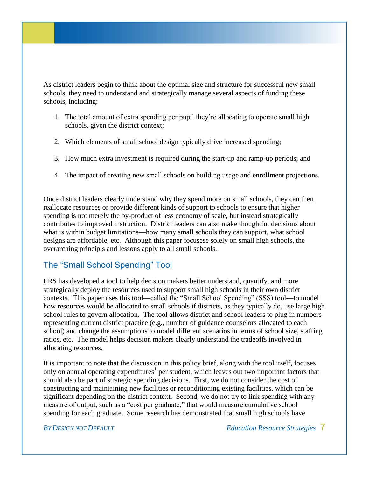As district leaders begin to think about the optimal size and structure for successful new small schools, they need to understand and strategically manage several aspects of funding these schools, including:

- 1. The total amount of extra spending per pupil they're allocating to operate small high schools, given the district context;
- 2. Which elements of small school design typically drive increased spending;
- 3. How much extra investment is required during the start-up and ramp-up periods; and
- 4. The impact of creating new small schools on building usage and enrollment projections.

Once district leaders clearly understand why they spend more on small schools, they can then reallocate resources or provide different kinds of support to schools to ensure that higher spending is not merely the by-product of less economy of scale, but instead strategically contributes to improved instruction. District leaders can also make thoughtful decisions about what is within budget limitations—how many small schools they can support, what school designs are affordable, etc. Although this paper focusese solely on small high schools, the overarching principls and lessons apply to all small schools.

## The "Small School Spending" Tool

ERS has developed a tool to help decision makers better understand, quantify, and more strategically deploy the resources used to support small high schools in their own district contexts. This paper uses this tool—called the "Small School Spending" (SSS) tool—to model how resources would be allocated to small schools if districts, as they typically do, use large high school rules to govern allocation. The tool allows district and school leaders to plug in numbers representing current district practice (e.g., number of guidance counselors allocated to each school) and change the assumptions to model different scenarios in terms of school size, staffing ratios, etc. The model helps decision makers clearly understand the tradeoffs involved in allocating resources.

It is important to note that the discussion in this policy brief, along with the tool itself, focuses only on annual operating expenditures<sup>1</sup> per student, which leaves out two important factors that should also be part of strategic spending decisions. First, we do not consider the cost of constructing and maintaining new facilities or reconditioning existing facilities, which can be significant depending on the district context. Second, we do not try to link spending with any measure of output, such as a "cost per graduate," that would measure cumulative school spending for each graduate. Some research has demonstrated that small high schools have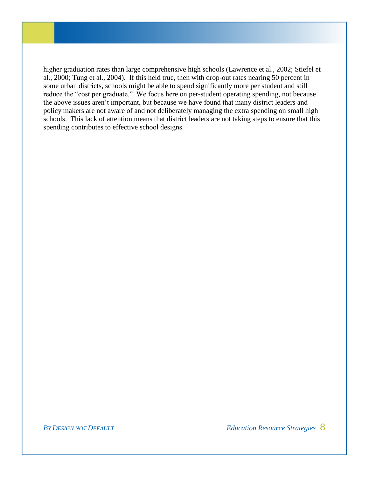higher graduation rates than large comprehensive high schools (Lawrence et al., 2002; Stiefel et al., 2000; Tung et al., 2004). If this held true, then with drop-out rates nearing 50 percent in some urban districts, schools might be able to spend significantly more per student and still reduce the "cost per graduate." We focus here on per-student operating spending, not because the above issues aren't important, but because we have found that many district leaders and policy makers are not aware of and not deliberately managing the extra spending on small high schools. This lack of attention means that district leaders are not taking steps to ensure that this spending contributes to effective school designs.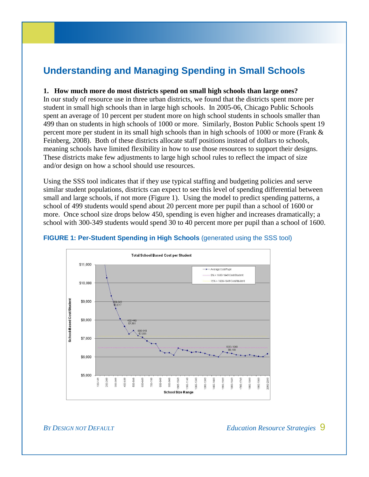## <span id="page-8-0"></span>**Understanding and Managing Spending in Small Schools**

#### **1. How much more do most districts spend on small high schools than large ones?**

In our study of resource use in three urban districts, we found that the districts spent more per student in small high schools than in large high schools. In 2005-06, Chicago Public Schools spent an average of 10 percent per student more on high school students in schools smaller than 499 than on students in high schools of 1000 or more. Similarly, Boston Public Schools spent 19 percent more per student in its small high schools than in high schools of 1000 or more (Frank & Feinberg, 2008). Both of these districts allocate staff positions instead of dollars to schools, meaning schools have limited flexibility in how to use those resources to support their designs. These districts make few adjustments to large high school rules to reflect the impact of size and/or design on how a school should use resources.

Using the SSS tool indicates that if they use typical staffing and budgeting policies and serve similar student populations, districts can expect to see this level of spending differential between small and large schools, if not more (Figure 1). Using the model to predict spending patterns, a school of 499 students would spend about 20 percent more per pupil than a school of 1600 or more. Once school size drops below 450, spending is even higher and increases dramatically; a school with 300-349 students would spend 30 to 40 percent more per pupil than a school of 1600.



#### **FIGURE 1: Per-Student Spending in High Schools** (generated using the SSS tool)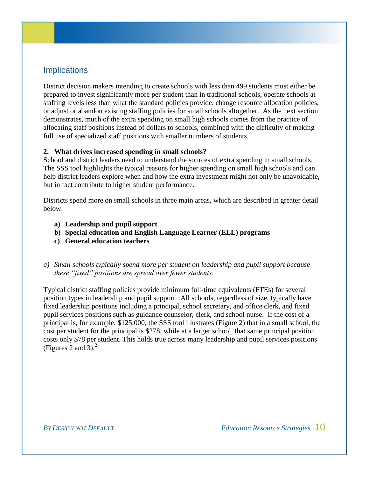## **Implications**

District decision makers intending to create schools with less than 499 students must either be prepared to invest significantly more per student than in traditional schools, operate schools at staffing levels less than what the standard policies provide, change resource allocation policies, or adjust or abandon existing staffing policies for small schools altogether. As the next section demonstrates, much of the extra spending on small high schools comes from the practice of allocating staff positions instead of dollars to schools, combined with the difficulty of making full use of specialized staff positions with smaller numbers of students.

#### **2. What drives increased spending in small schools?**

School and district leaders need to understand the sources of extra spending in small schools. The SSS tool highlights the typical reasons for higher spending on small high schools and can help district leaders explore when and how the extra investment might not only be unavoidable, but in fact contribute to higher student performance.

Districts spend more on small schools in three main areas, which are described in greater detail below:

- **a) Leadership and pupil support**
- **b) Special education and English Language Learner (ELL) programs**
- **c) General education teachers**
- *a) Small schools typically spend more per student on leadership and pupil support because these "fixed" positions are spread over fewer students.*

Typical district staffing policies provide minimum full-time equivalents (FTEs) for several position types in leadership and pupil support. All schools, regardless of size, typically have fixed leadership positions including a principal, school secretary, and office clerk, and fixed pupil services positions such as guidance counselor, clerk, and school nurse. If the cost of a principal is, for example, \$125,000, the SSS tool illustrates (Figure 2) that in a small school, the cost per student for the principal is \$278, while at a larger school, that same principal position costs only \$78 per student. This holds true across many leadership and pupil services positions (Figures 2 and  $3$ ).<sup>2</sup>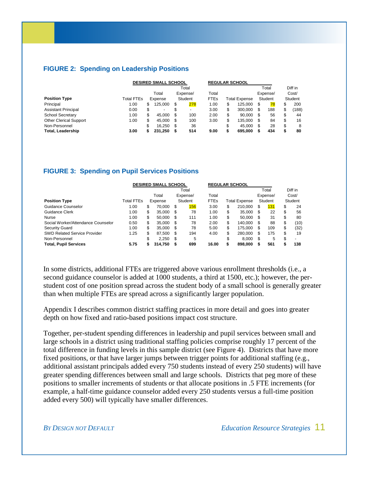#### **FIGURE 2: Spending on Leadership Positions**

|                               | <b>DESIRED SMALL SCHOOL</b> |                   |                |   |         | <b>REGULAR SCHOOL</b> |        |               |    |          |       |         |
|-------------------------------|-----------------------------|-------------------|----------------|---|---------|-----------------------|--------|---------------|----|----------|-------|---------|
|                               |                             |                   |                |   | Total   |                       |        |               |    | Total    |       | Diff in |
|                               |                             | Total<br>Expense/ |                |   |         | Total                 |        |               |    | Expense/ | Cost/ |         |
| <b>Position Type</b>          | <b>Total FTEs</b>           |                   | Expense        |   | Student | <b>FTEs</b>           |        | Total Expense |    | Student  |       | Student |
| Principal                     | 1.00                        | \$                | 125.000        | S | 278     | 1.00                  | \$     | 125.000       | \$ | 78       | S     | 200     |
| <b>Assistant Principal</b>    | 0.00                        | \$                | $\blacksquare$ | S | ۰       | 3.00                  | \$     | 300.000       | \$ | 188      | S     | (188)   |
| <b>School Secretary</b>       | 1.00                        | \$                | 45.000         | S | 100     | 2.00                  | \$     | 90.000        | S  | 56       | \$    | 44      |
| <b>Other Clerical Support</b> | 1.00                        | \$                | 45.000         | S | 100     | 3.00                  | \$     | 135.000       | \$ | 84       | S     | 16      |
| Non-Personnel                 |                             | \$                | 16.250         | S | 36      |                       | ¢<br>J | 45.000        | \$ | 28       | \$    | -8      |
| <b>Total, Leadership</b>      | 3.00                        |                   | 231.250        |   | 514     | 9.00                  |        | 695.000       |    | 434      |       | 80      |

#### **FIGURE 3: Spending on Pupil Services Positions**

|                                     | <b>DESIRED SMALL SCHOOL</b> |         |         |         |          |             |                      | <b>REGULAR SCHOOL</b> |         |          |         |                          |
|-------------------------------------|-----------------------------|---------|---------|---------|----------|-------------|----------------------|-----------------------|---------|----------|---------|--------------------------|
|                                     |                             |         |         |         | Total    |             |                      |                       |         | Total    |         | Diff in                  |
|                                     |                             |         | Total   |         | Expense/ | Total       |                      |                       |         | Expense/ |         | Cost/                    |
| <b>Position Type</b>                | Total FTEs                  | Expense |         | Student |          | <b>FTEs</b> | <b>Total Expense</b> |                       | Student |          | Student |                          |
| Guidance Counselor                  | 1.00                        | \$      | 70.000  | S       | 156      | 3.00        | \$                   | 210.000               | \$      | 131      | \$      | 24                       |
| Guidance Clerk                      | 1.00                        | \$      | 35.000  | - \$    | 78       | 1.00        | S                    | 35.000                | \$.     | 22       | \$      | 56                       |
| Nurse                               | 1.00                        | \$      | 50.000  | \$.     | 111      | 1.00        | S                    | 50.000                | \$      | 31       | \$      | 80                       |
| Social Worker/Attendance Counselor  | 0.50                        | \$      | 35.000  | S       | 78       | 2.00        | S                    | 140.000               | \$      | 88       | \$      | (10)                     |
| <b>Security Guard</b>               | 1.00                        | \$      | 35.000  | S       | 78       | 5.00        | S                    | 175.000               | S       | 109      | \$      | (32)                     |
| <b>SWD Related Service Provider</b> | 1.25                        | \$      | 87.500  | S       | 194      | 4.00        | \$                   | 280.000               | S       | 175      | \$      | 19                       |
| Non-Personnel                       |                             | S       | 2.250   | S       | 5        |             |                      | 8.000                 | \$.     | 5        | \$      | $\overline{\phantom{0}}$ |
| <b>Total, Pupil Services</b>        | 5.75                        |         | 314.750 |         | 699      | 16.00       |                      | 898,000               |         | 561      |         | 138                      |

In some districts, additional FTEs are triggered above various enrollment thresholds (i.e., a second guidance counselor is added at 1000 students, a third at 1500, etc.); however, the perstudent cost of one position spread across the student body of a small school is generally greater than when multiple FTEs are spread across a significantly larger population.

Appendix I describes common district staffing practices in more detail and goes into greater depth on how fixed and ratio-based positions impact cost structure.

Together, per-student spending differences in leadership and pupil services between small and large schools in a district using traditional staffing policies comprise roughly 17 percent of the total difference in funding levels in this sample district (see Figure 4). Districts that have more fixed positions, or that have larger jumps between trigger points for additional staffing (e.g., additional assistant principals added every 750 students instead of every 250 students) will have greater spending differences between small and large schools. Districts that peg more of these positions to smaller increments of students or that allocate positions in .5 FTE increments (for example, a half-time guidance counselor added every 250 students versus a full-time position added every 500) will typically have smaller differences.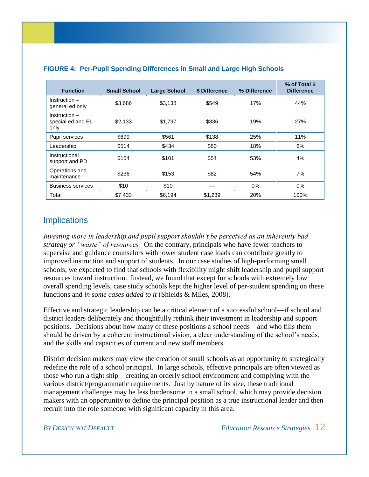| <b>Function</b>                              | <b>Small School</b> | <b>Large School</b> | \$ Difference | % Difference | % of Total \$<br><b>Difference</b> |
|----------------------------------------------|---------------------|---------------------|---------------|--------------|------------------------------------|
| $Instruction -$<br>general ed only           | \$3,686             | \$3,138             | \$549         | 17%          | 44%                                |
| $Instruction -$<br>special ed and EL<br>only | \$2.133             | \$1,797             | \$336         | 19%          | <b>27%</b>                         |
| Pupil services                               | \$699               | \$561               | \$138         | 25%          | 11%                                |
| Leadership                                   | \$514               | \$434               | \$80          | 18%          | 6%                                 |
| Instructional<br>support and PD              | \$154               | \$101               | \$54          | 53%          | 4%                                 |
| Operations and<br>maintenance                | \$236               | \$153               | \$82          | 54%          | 7%                                 |
| <b>Business services</b>                     | \$10                | \$10                |               | $0\%$        | $0\%$                              |
| Total                                        | \$7,433             | \$6,194             | \$1,239       | 20%          | 100%                               |

#### **FIGURE 4: Per-Pupil Spending Differences in Small and Large High Schools**

### **Implications**

*Investing more in leadership and pupil support shouldn't be perceived as an inherently bad strategy or "waste" of resources.* On the contrary, principals who have fewer teachers to supervise and guidance counselors with lower student case loads can contribute greatly to improved instruction and support of students. In our case studies of high-performing small schools, we expected to find that schools with flexibility might shift leadership and pupil support resources toward instruction. Instead, we found that except for schools with extremely low overall spending levels, case study schools kept the higher level of per-student spending on these functions and *in some cases added to it* (Shields & Miles, 2008).

Effective and strategic leadership can be a critical element of a successful school—if school and district leaders deliberately and thoughtfully rethink their investment in leadership and support positions. Decisions about how many of these positions a school needs—and who fills them should be driven by a coherent instructional vision, a clear understanding of the school's needs, and the skills and capacities of current and new staff members.

District decision makers may view the creation of small schools as an opportunity to strategically redefine the role of a school principal. In large schools, effective principals are often viewed as those who run a tight ship – creating an orderly school environment and complying with the various district/programmatic requirements. Just by nature of its size, these traditional management challenges may be less burdensome in a small school, which may provide decision makers with an opportunity to define the principal position as a true instructional leader and then recruit into the role someone with significant capacity in this area.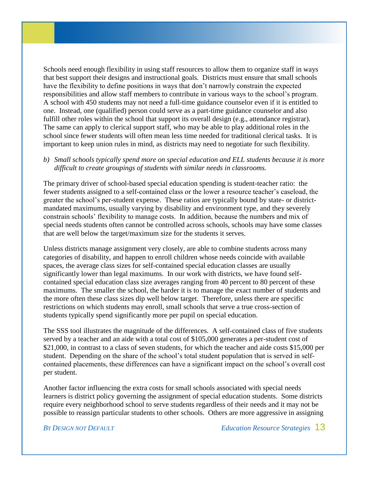Schools need enough flexibility in using staff resources to allow them to organize staff in ways that best support their designs and instructional goals. Districts must ensure that small schools have the flexibility to define positions in ways that don't narrowly constrain the expected responsibilities and allow staff members to contribute in various ways to the school's program. A school with 450 students may not need a full-time guidance counselor even if it is entitled to one. Instead, one (qualified) person could serve as a part-time guidance counselor and also fulfill other roles within the school that support its overall design (e.g., attendance registrar). The same can apply to clerical support staff, who may be able to play additional roles in the school since fewer students will often mean less time needed for traditional clerical tasks. It is important to keep union rules in mind, as districts may need to negotiate for such flexibility.

#### *b) Small schools typically spend more on special education and ELL students because it is more difficult to create groupings of students with similar needs in classrooms.*

The primary driver of school-based special education spending is student-teacher ratio: the fewer students assigned to a self-contained class or the lower a resource teacher's caseload, the greater the school's per-student expense. These ratios are typically bound by state- or districtmandated maximums, usually varying by disability and environment type, and they severely constrain schools' flexibility to manage costs. In addition, because the numbers and mix of special needs students often cannot be controlled across schools, schools may have some classes that are well below the target/maximum size for the students it serves.

Unless districts manage assignment very closely, are able to combine students across many categories of disability, and happen to enroll children whose needs coincide with available spaces, the average class sizes for self-contained special education classes are usually significantly lower than legal maximums. In our work with districts, we have found selfcontained special education class size averages ranging from 40 percent to 80 percent of these maximums. The smaller the school, the harder it is to manage the exact number of students and the more often these class sizes dip well below target. Therefore, unless there are specific restrictions on which students may enroll, small schools that serve a true cross-section of students typically spend significantly more per pupil on special education.

The SSS tool illustrates the magnitude of the differences. A self-contained class of five students served by a teacher and an aide with a total cost of \$105,000 generates a per-student cost of \$21,000, in contrast to a class of seven students, for which the teacher and aide costs \$15,000 per student. Depending on the share of the school's total student population that is served in selfcontained placements, these differences can have a significant impact on the school's overall cost per student.

Another factor influencing the extra costs for small schools associated with special needs learners is district policy governing the assignment of special education students. Some districts require every neighborhood school to serve students regardless of their needs and it may not be possible to reassign particular students to other schools. Others are more aggressive in assigning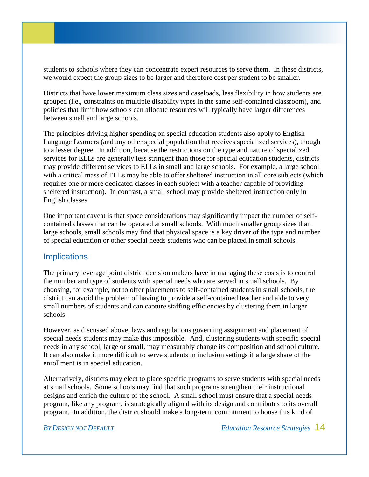students to schools where they can concentrate expert resources to serve them. In these districts, we would expect the group sizes to be larger and therefore cost per student to be smaller.

Districts that have lower maximum class sizes and caseloads, less flexibility in how students are grouped (i.e., constraints on multiple disability types in the same self-contained classroom), and policies that limit how schools can allocate resources will typically have larger differences between small and large schools.

The principles driving higher spending on special education students also apply to English Language Learners (and any other special population that receives specialized services), though to a lesser degree. In addition, because the restrictions on the type and nature of specialized services for ELLs are generally less stringent than those for special education students, districts may provide different services to ELLs in small and large schools. For example, a large school with a critical mass of ELLs may be able to offer sheltered instruction in all core subjects (which requires one or more dedicated classes in each subject with a teacher capable of providing sheltered instruction). In contrast, a small school may provide sheltered instruction only in English classes.

One important caveat is that space considerations may significantly impact the number of selfcontained classes that can be operated at small schools. With much smaller group sizes than large schools, small schools may find that physical space is a key driver of the type and number of special education or other special needs students who can be placed in small schools.

### **Implications**

The primary leverage point district decision makers have in managing these costs is to control the number and type of students with special needs who are served in small schools. By choosing, for example, not to offer placements to self-contained students in small schools, the district can avoid the problem of having to provide a self-contained teacher and aide to very small numbers of students and can capture staffing efficiencies by clustering them in larger schools.

However, as discussed above, laws and regulations governing assignment and placement of special needs students may make this impossible. And, clustering students with specific special needs in any school, large or small, may measurably change its composition and school culture. It can also make it more difficult to serve students in inclusion settings if a large share of the enrollment is in special education.

Alternatively, districts may elect to place specific programs to serve students with special needs at small schools. Some schools may find that such programs strengthen their instructional designs and enrich the culture of the school. A small school must ensure that a special needs program, like any program, is strategically aligned with its design and contributes to its overall program. In addition, the district should make a long-term commitment to house this kind of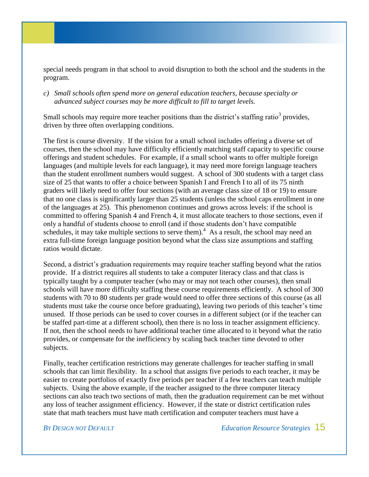special needs program in that school to avoid disruption to both the school and the students in the program.

#### *c) Small schools often spend more on general education teachers, because specialty or advanced subject courses may be more difficult to fill to target levels.*

Small schools may require more teacher positions than the district's staffing ratio<sup>3</sup> provides, driven by three often overlapping conditions.

The first is course diversity. If the vision for a small school includes offering a diverse set of courses, then the school may have difficulty efficiently matching staff capacity to specific course offerings and student schedules. For example, if a small school wants to offer multiple foreign languages (and multiple levels for each language), it may need more foreign language teachers than the student enrollment numbers would suggest. A school of 300 students with a target class size of 25 that wants to offer a choice between Spanish I and French I to all of its 75 ninth graders will likely need to offer four sections (with an average class size of 18 or 19) to ensure that no one class is significantly larger than 25 students (unless the school caps enrollment in one of the languages at 25). This phenomenon continues and grows across levels: if the school is committed to offering Spanish 4 and French 4, it must allocate teachers to those sections, even if only a handful of students choose to enroll (and if those students don't have compatible schedules, it may take multiple sections to serve them).<sup>4</sup> As a result, the school may need an extra full-time foreign language position beyond what the class size assumptions and staffing ratios would dictate.

Second, a district's graduation requirements may require teacher staffing beyond what the ratios provide. If a district requires all students to take a computer literacy class and that class is typically taught by a computer teacher (who may or may not teach other courses), then small schools will have more difficulty staffing these course requirements efficiently. A school of 300 students with 70 to 80 students per grade would need to offer three sections of this course (as all students must take the course once before graduating), leaving two periods of this teacher's time unused. If those periods can be used to cover courses in a different subject (or if the teacher can be staffed part-time at a different school), then there is no loss in teacher assignment efficiency. If not, then the school needs to have additional teacher time allocated to it beyond what the ratio provides, or compensate for the inefficiency by scaling back teacher time devoted to other subjects*.* 

Finally, teacher certification restrictions may generate challenges for teacher staffing in small schools that can limit flexibility. In a school that assigns five periods to each teacher, it may be easier to create portfolios of exactly five periods per teacher if a few teachers can teach multiple subjects. Using the above example, if the teacher assigned to the three computer literacy sections can also teach two sections of math, then the graduation requirement can be met without any loss of teacher assignment efficiency. However, if the state or district certification rules state that math teachers must have math certification and computer teachers must have a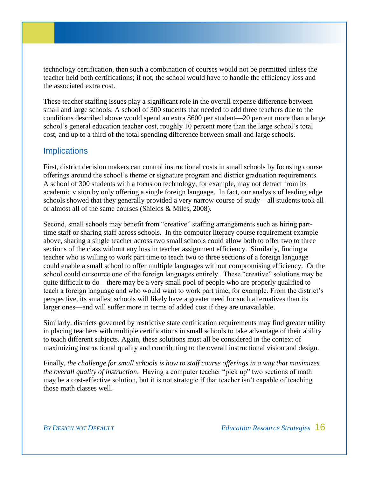technology certification, then such a combination of courses would not be permitted unless the teacher held both certifications; if not, the school would have to handle the efficiency loss and the associated extra cost.

These teacher staffing issues play a significant role in the overall expense difference between small and large schools. A school of 300 students that needed to add three teachers due to the conditions described above would spend an extra \$600 per student—20 percent more than a large school's general education teacher cost, roughly 10 percent more than the large school's total cost, and up to a third of the total spending difference between small and large schools.

## **Implications**

First, district decision makers can control instructional costs in small schools by focusing course offerings around the school's theme or signature program and district graduation requirements. A school of 300 students with a focus on technology, for example, may not detract from its academic vision by only offering a single foreign language. In fact, our analysis of leading edge schools showed that they generally provided a very narrow course of study—all students took all or almost all of the same courses (Shields & Miles, 2008).

Second, small schools may benefit from "creative" staffing arrangements such as hiring parttime staff or sharing staff across schools. In the computer literacy course requirement example above, sharing a single teacher across two small schools could allow both to offer two to three sections of the class without any loss in teacher assignment efficiency. Similarly, finding a teacher who is willing to work part time to teach two to three sections of a foreign language could enable a small school to offer multiple languages without compromising efficiency. Or the school could outsource one of the foreign languages entirely. These "creative" solutions may be quite difficult to do—there may be a very small pool of people who are properly qualified to teach a foreign language and who would want to work part time, for example. From the district's perspective, its smallest schools will likely have a greater need for such alternatives than its larger ones—and will suffer more in terms of added cost if they are unavailable.

Similarly, districts governed by restrictive state certification requirements may find greater utility in placing teachers with multiple certifications in small schools to take advantage of their ability to teach different subjects. Again, these solutions must all be considered in the context of maximizing instructional quality and contributing to the overall instructional vision and design.

Finally, *the challenge for small schools is how to staff course offerings in a way that maximizes the overall quality of instruction*. Having a computer teacher "pick up" two sections of math may be a cost-effective solution, but it is not strategic if that teacher isn't capable of teaching those math classes well.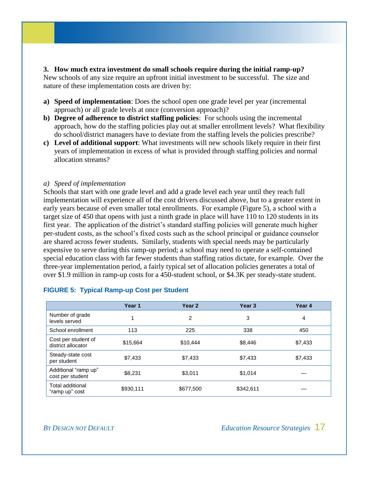#### **3. How much extra investment do small schools require during the initial ramp-up?**

New schools of any size require an upfront initial investment to be successful. The size and nature of these implementation costs are driven by:

- **a) Speed of implementation**: Does the school open one grade level per year (incremental approach) or all grade levels at once (conversion approach)?
- **b) Degree of adherence to district staffing policies**: For schools using the incremental approach, how do the staffing policies play out at smaller enrollment levels? What flexibility do school/district managers have to deviate from the staffing levels the policies prescribe?
- **c) Level of additional support**: What investments will new schools likely require in their first years of implementation in excess of what is provided through staffing policies and normal allocation streams?

#### *a) Speed of implementation*

Schools that start with one grade level and add a grade level each year until they reach full implementation will experience all of the cost drivers discussed above, but to a greater extent in early years because of even smaller total enrollments. For example (Figure 5), a school with a target size of 450 that opens with just a ninth grade in place will have 110 to 120 students in its first year. The application of the district's standard staffing policies will generate much higher per-student costs, as the school's fixed costs such as the school principal or guidance counselor are shared across fewer students. Similarly, students with special needs may be particularly expensive to serve during this ramp-up period; a school may need to operate a self-contained special education class with far fewer students than staffing ratios dictate, for example. Over the three-year implementation period, a fairly typical set of allocation policies generates a total of over \$1.9 million in ramp-up costs for a 450-student school, or \$4.3K per steady-state student.

|                                           | Year 1    | Year <sub>2</sub> | Year 3    | Year 4  |
|-------------------------------------------|-----------|-------------------|-----------|---------|
| Number of grade<br>levels served          |           | $\overline{2}$    | 3         | 4       |
| School enrollment                         | 113       | 225               | 338       | 450     |
| Cost per student of<br>district allocator | \$15.664  | \$10,444          | \$8,446   | \$7,433 |
| Steady-state cost<br>per student          | \$7.433   | \$7,433           | \$7,433   | \$7,433 |
| Additional "ramp up"<br>cost per student  | \$8,231   | \$3,011           | \$1,014   |         |
| <b>Total additional</b><br>"ramp up" cost | \$930,111 | \$677,500         | \$342,611 |         |

#### **FIGURE 5: Typical Ramp-up Cost per Student**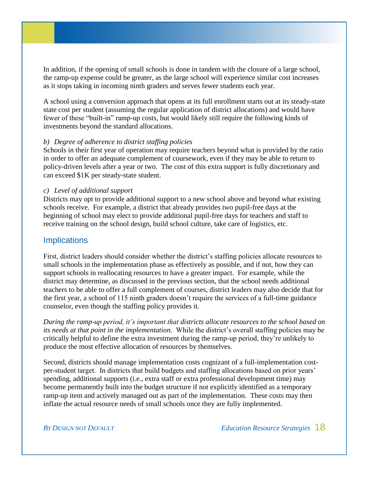In addition, if the opening of small schools is done in tandem with the closure of a large school, the ramp-up expense could be greater, as the large school will experience similar cost increases as it stops taking in incoming ninth graders and serves fewer students each year.

A school using a conversion approach that opens at its full enrollment starts out at its steady-state state cost per student (assuming the regular application of district allocations) and would have fewer of these "built-in" ramp-up costs, but would likely still require the following kinds of investments beyond the standard allocations.

#### *b) Degree of adherence to district staffing policies*

Schools in their first year of operation may require teachers beyond what is provided by the ratio in order to offer an adequate complement of coursework, even if they may be able to return to policy-driven levels after a year or two. The cost of this extra support is fully discretionary and can exceed \$1K per steady-state student.

#### *c) Level of additional support*

Districts may opt to provide additional support to a new school above and beyond what existing schools receive. For example, a district that already provides two pupil-free days at the beginning of school may elect to provide additional pupil-free days for teachers and staff to receive training on the school design, build school culture, take care of logistics, etc.

### **Implications**

First, district leaders should consider whether the district's staffing policies allocate resources to small schools in the implementation phase as effectively as possible, and if not, how they can support schools in reallocating resources to have a greater impact. For example, while the district may determine, as discussed in the previous section, that the school needs additional teachers to be able to offer a full complement of courses, district leaders may also decide that for the first year, a school of 115 ninth graders doesn't require the services of a full-time guidance counselor, even though the staffing policy provides it.

*During the ramp-up period, it's important that districts allocate resources to the school based on its needs at that point in the implementation.* While the district's overall staffing policies may be critically helpful to define the extra investment during the ramp-up period, they're unlikely to produce the most effective allocation of resources by themselves.

Second, districts should manage implementation costs cognizant of a full-implementation costper-student target. In districts that build budgets and staffing allocations based on prior years' spending, additional supports (i.e., extra staff or extra professional development time) may become permanently built into the budget structure if not explicitly identified as a temporary ramp-up item and actively managed out as part of the implementation. These costs may then inflate the actual resource needs of small schools once they are fully implemented.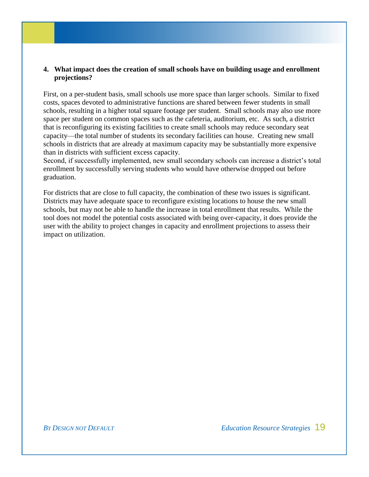#### **4. What impact does the creation of small schools have on building usage and enrollment projections?**

First, on a per-student basis, small schools use more space than larger schools. Similar to fixed costs, spaces devoted to administrative functions are shared between fewer students in small schools, resulting in a higher total square footage per student. Small schools may also use more space per student on common spaces such as the cafeteria, auditorium, etc. As such, a district that is reconfiguring its existing facilities to create small schools may reduce secondary seat capacity—the total number of students its secondary facilities can house. Creating new small schools in districts that are already at maximum capacity may be substantially more expensive than in districts with sufficient excess capacity.

Second, if successfully implemented, new small secondary schools can increase a district's total enrollment by successfully serving students who would have otherwise dropped out before graduation.

For districts that are close to full capacity, the combination of these two issues is significant. Districts may have adequate space to reconfigure existing locations to house the new small schools, but may not be able to handle the increase in total enrollment that results. While the tool does not model the potential costs associated with being over-capacity, it does provide the user with the ability to project changes in capacity and enrollment projections to assess their impact on utilization.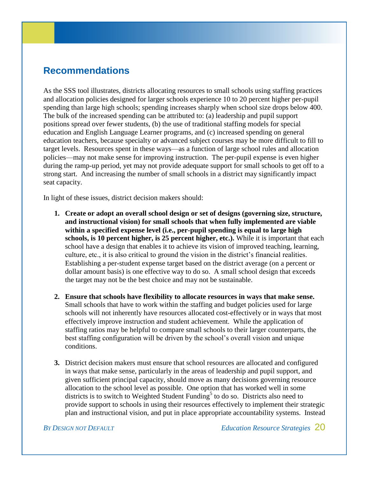## <span id="page-19-0"></span>**Recommendations**

As the SSS tool illustrates, districts allocating resources to small schools using staffing practices and allocation policies designed for larger schools experience 10 to 20 percent higher per-pupil spending than large high schools; spending increases sharply when school size drops below 400. The bulk of the increased spending can be attributed to: (a) leadership and pupil support positions spread over fewer students, (b) the use of traditional staffing models for special education and English Language Learner programs, and (c) increased spending on general education teachers, because specialty or advanced subject courses may be more difficult to fill to target levels. Resources spent in these ways—as a function of large school rules and allocation policies—may not make sense for improving instruction. The per-pupil expense is even higher during the ramp-up period, yet may not provide adequate support for small schools to get off to a strong start. And increasing the number of small schools in a district may significantly impact seat capacity.

In light of these issues, district decision makers should:

- **1. Create or adopt an overall school design or set of designs (governing size, structure, and instructional vision) for small schools that when fully implemented are viable within a specified expense level (i.e., per-pupil spending is equal to large high schools, is 10 percent higher, is 25 percent higher, etc.).** While it is important that each school have a design that enables it to achieve its vision of improved teaching, learning, culture, etc., it is also critical to ground the vision in the district's financial realities. Establishing a per-student expense target based on the district average (on a percent or dollar amount basis) is one effective way to do so. A small school design that exceeds the target may not be the best choice and may not be sustainable.
- **2. Ensure that schools have flexibility to allocate resources in ways that make sense.**  Small schools that have to work within the staffing and budget policies used for large schools will not inherently have resources allocated cost-effectively or in ways that most effectively improve instruction and student achievement. While the application of staffing ratios may be helpful to compare small schools to their larger counterparts, the best staffing configuration will be driven by the school's overall vision and unique conditions.
- **3.** District decision makers must ensure that school resources are allocated and configured in ways that make sense, particularly in the areas of leadership and pupil support, and given sufficient principal capacity, should move as many decisions governing resource allocation to the school level as possible. One option that has worked well in some districts is to switch to Weighted Student Funding<sup>5</sup> to do so. Districts also need to provide support to schools in using their resources effectively to implement their strategic plan and instructional vision, and put in place appropriate accountability systems. Instead

*BY DESIGN NOT DEFAULT Education Resource Strategies* 20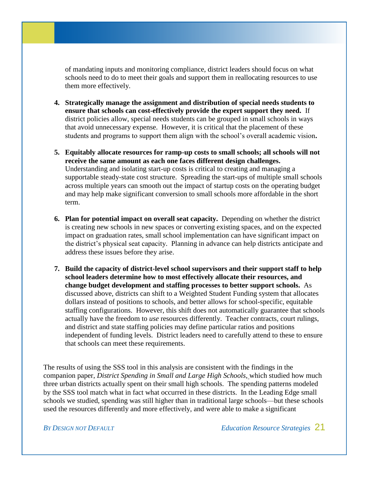of mandating inputs and monitoring compliance, district leaders should focus on what schools need to do to meet their goals and support them in reallocating resources to use them more effectively.

- **4. Strategically manage the assignment and distribution of special needs students to ensure that schools can cost-effectively provide the expert support they need.** If district policies allow, special needs students can be grouped in small schools in ways that avoid unnecessary expense. However, it is critical that the placement of these students and programs to support them align with the school's overall academic vision**.**
- **5. Equitably allocate resources for ramp-up costs to small schools; all schools will not receive the same amount as each one faces different design challenges.** Understanding and isolating start-up costs is critical to creating and managing a supportable steady-state cost structure. Spreading the start-ups of multiple small schools across multiple years can smooth out the impact of startup costs on the operating budget and may help make significant conversion to small schools more affordable in the short term.
- **6. Plan for potential impact on overall seat capacity.** Depending on whether the district is creating new schools in new spaces or converting existing spaces, and on the expected impact on graduation rates, small school implementation can have significant impact on the district's physical seat capacity.Planning in advance can help districts anticipate and address these issues before they arise.
- **7. Build the capacity of district-level school supervisors and their support staff to help school leaders determine how to most effectively allocate their resources, and change budget development and staffing processes to better support schools.** As discussed above, districts can shift to a Weighted Student Funding system that allocates dollars instead of positions to schools, and better allows for school-specific, equitable staffing configurations. However, this shift does not automatically guarantee that schools actually have the freedom to *use* resources differently. Teacher contracts, court rulings, and district and state staffing policies may define particular ratios and positions independent of funding levels. District leaders need to carefully attend to these to ensure that schools can meet these requirements.

The results of using the SSS tool in this analysis are consistent with the findings in the companion paper, *District Spending in Small and Large High Schools*, which studied how much three urban districts actually spent on their small high schools. The spending patterns modeled by the SSS tool match what in fact what occurred in these districts. In the Leading Edge small schools we studied, spending was still higher than in traditional large schools—but these schools used the resources differently and more effectively, and were able to make a significant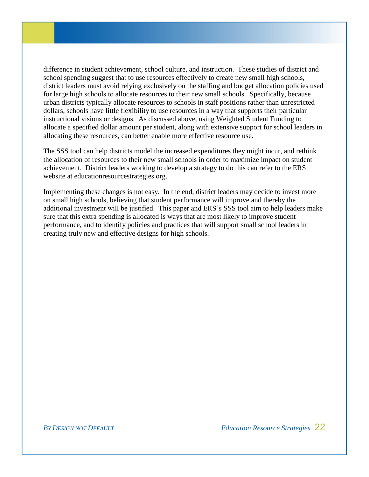difference in student achievement, school culture, and instruction. These studies of district and school spending suggest that to use resources effectively to create new small high schools, district leaders must avoid relying exclusively on the staffing and budget allocation policies used for large high schools to allocate resources to their new small schools. Specifically, because urban districts typically allocate resources to schools in staff positions rather than unrestricted dollars, schools have little flexibility to use resources in a way that supports their particular instructional visions or designs. As discussed above, using Weighted Student Funding to allocate a specified dollar amount per student, along with extensive support for school leaders in allocating these resources, can better enable more effective resource use.

The SSS tool can help districts model the increased expenditures they might incur, and rethink the allocation of resources to their new small schools in order to maximize impact on student achievement. District leaders working to develop a strategy to do this can refer to the ERS website at educationresourcestrategies.org.

Implementing these changes is not easy. In the end, district leaders may decide to invest more on small high schools, believing that student performance will improve and thereby the additional investment will be justified. This paper and ERS's SSS tool aim to help leaders make sure that this extra spending is allocated is ways that are most likely to improve student performance, and to identify policies and practices that will support small school leaders in creating truly new and effective designs for high schools.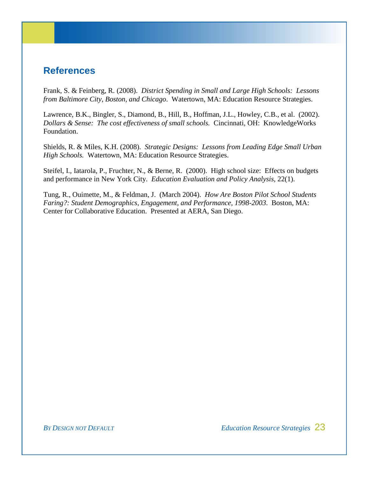## <span id="page-22-0"></span>**References**

Frank, S. & Feinberg, R. (2008). *District Spending in Small and Large High Schools: Lessons from Baltimore City, Boston, and Chicago*. Watertown, MA: Education Resource Strategies.

Lawrence, B.K., Bingler, S., Diamond, B., Hill, B., Hoffman, J.L., Howley, C.B., et al. (2002). *Dollars & Sense: The cost effectiveness of small schools.* Cincinnati, OH: KnowledgeWorks Foundation.

Shields, R. & Miles, K.H. (2008). *Strategic Designs: Lessons from Leading Edge Small Urban High Schools.* Watertown, MA: Education Resource Strategies.

Steifel, I., Iatarola, P., Fruchter, N., & Berne, R. (2000). High school size: Effects on budgets and performance in New York City. *Education Evaluation and Policy Analysis,* 22(1).

Tung, R., Ouimette, M., & Feldman, J. (March 2004). *How Are Boston Pilot School Students Faring?: Student Demographics, Engagement, and Performance, 1998-2003*. Boston, MA: Center for Collaborative Education. Presented at AERA, San Diego.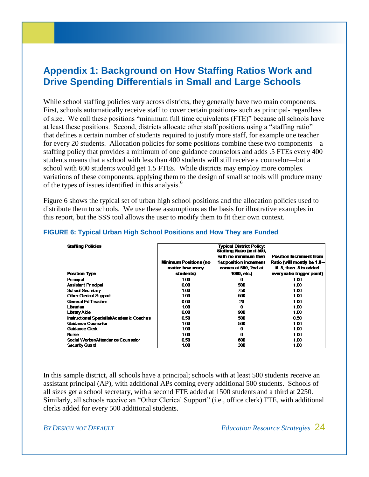## <span id="page-23-0"></span>**Appendix 1: Background on How Staffing Ratios Work and Drive Spending Differentials in Small and Large Schools**

While school staffing policies vary across districts, they generally have two main components. First, schools automatically receive staff to cover certain positions- such as principal- regardless of size. We call these positions "minimum full time equivalents (FTE)" because all schools have at least these positions. Second, districts allocate other staff positions using a "staffing ratio" that defines a certain number of students required to justify more staff, for example one teacher for every 20 students. Allocation policies for some positions combine these two components—a staffing policy that provides a minimum of one guidance counselors and adds .5 FTEs every 400 students means that a school with less than 400 students will still receive a counselor—but a school with 600 students would get 1.5 FTEs. While districts may employ more complex variations of these components, applying them to the design of small schools will produce many of the types of issues identified in this analysis.<sup>6</sup>

Figure 6 shows the typical set of urban high school positions and the allocation policies used to distribute them to schools. We use these assumptions as the basis for illustrative examples in this report, but the SSS tool allows the user to modify them to fit their own context.

| <b>Staffing Policies</b>                  | <b>Minimum Positions (no</b><br>matter how many | <b>Typical District Policy:</b><br>Staffing Ratio (ie if 500,<br>with no minimum then<br>1 st position increment<br>comes at 500, 2nd at | <b>Position Increment from</b><br>Ratio (will mostly be 1.0 -<br>if .5, then .5 is added |
|-------------------------------------------|-------------------------------------------------|------------------------------------------------------------------------------------------------------------------------------------------|------------------------------------------------------------------------------------------|
| <b>Position Type</b>                      | students)                                       | 1000, etc.                                                                                                                               | every ratio trigger point)                                                               |
| Principal                                 | 1.00                                            | 0                                                                                                                                        | 1.00                                                                                     |
| <b>Assistant Principal</b>                | 0.00                                            | 500                                                                                                                                      | 1.00                                                                                     |
| <b>School Secretary</b>                   | 1.00                                            | 750.                                                                                                                                     | 1.00                                                                                     |
| <b>Other Clerical Support</b>             | 1.00                                            | 500.                                                                                                                                     | 1.00                                                                                     |
| General Ed Teacher                        | 0.00                                            | 20                                                                                                                                       | 1.00                                                                                     |
| Librarian                                 | 1.00                                            | 0                                                                                                                                        | 1.00                                                                                     |
| <b>Library Aide</b>                       | 0.00                                            | 900                                                                                                                                      | 1.00                                                                                     |
| Instructional Specialist/Academic Coaches | 0.50                                            | 500                                                                                                                                      | 0.50                                                                                     |
| <b>Guidance Counselor</b>                 | 100                                             | 500                                                                                                                                      | 100                                                                                      |
| <b>Guidance Clerk</b>                     | 1.00                                            | 0                                                                                                                                        | 1.00                                                                                     |
| <b>Nurse</b>                              | 1.00                                            | O                                                                                                                                        | 1.00                                                                                     |
| Social Worker/Attendance Counselor        | 0.50                                            | 600                                                                                                                                      | 1.00                                                                                     |
| Security Guard                            | 1.00                                            | 300                                                                                                                                      | 1.00                                                                                     |

#### **FIGURE 6: Typical Urban High School Positions and How They are Funded**

In this sample district, all schools have a principal; schools with at least 500 students receive an assistant principal (AP), with additional APs coming every additional 500 students. Schools of all sizes get a school secretary, with a second FTE added at 1500 students and a third at 2250. Similarly, all schools receive an "Other Clerical Support" (i.e., office clerk) FTE, with additional clerks added for every 500 additional students.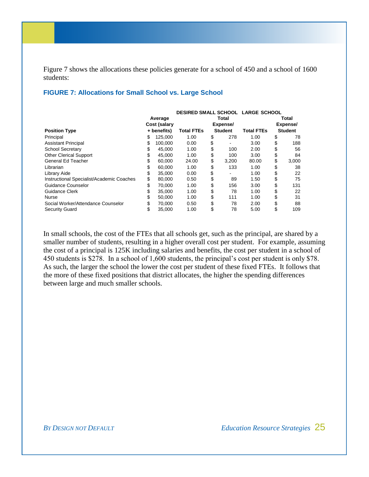Figure 7 shows the allocations these policies generate for a school of 450 and a school of 1600 students:

#### **FIGURE 7: Allocations for Small School vs. Large School**

|                                                  |               | <b>DESIRED SMALL SCHOOL LARGE SCHOOL</b> |    |                |                   |          |                |  |
|--------------------------------------------------|---------------|------------------------------------------|----|----------------|-------------------|----------|----------------|--|
|                                                  | Average       |                                          |    | Total          |                   |          | Total          |  |
|                                                  | Cost (salary  |                                          |    | Expense/       |                   | Expense/ |                |  |
| <b>Position Type</b>                             | + benefits)   | <b>Total FTEs</b>                        |    | <b>Student</b> | <b>Total FTEs</b> |          | <b>Student</b> |  |
| Principal                                        | \$<br>125,000 | 1.00                                     | \$ | 278            | 1.00              | \$       | 78             |  |
| <b>Assistant Principal</b>                       | \$<br>100.000 | 0.00                                     | \$ |                | 3.00              | \$       | 188            |  |
| <b>School Secretary</b>                          | \$<br>45.000  | 1.00                                     | \$ | 100            | 2.00              | \$       | 56             |  |
| <b>Other Clerical Support</b>                    | \$<br>45.000  | 1.00                                     | \$ | 100            | 3.00              | \$       | 84             |  |
| General Ed Teacher                               | \$<br>60.000  | 24.00                                    | \$ | 3.200          | 80.00             | \$       | 3,000          |  |
| Librarian                                        | \$<br>60.000  | 1.00                                     | \$ | 133            | 1.00              | \$       | 38             |  |
| Library Aide                                     | \$<br>35.000  | 0.00                                     | \$ | ۰              | 1.00              | S        | 22             |  |
| <b>Instructional Specialist/Academic Coaches</b> | \$<br>80.000  | 0.50                                     | \$ | 89             | 1.50              | \$       | 75             |  |
| Guidance Counselor                               | \$<br>70.000  | 1.00                                     | \$ | 156            | 3.00              | \$       | 131            |  |
| Guidance Clerk                                   | \$<br>35.000  | 1.00                                     | \$ | 78             | 1.00              | \$       | 22             |  |
| <b>Nurse</b>                                     | \$<br>50,000  | 1.00                                     | \$ | 111            | 1.00              | \$       | 31             |  |
| Social Worker/Attendance Counselor               | \$<br>70.000  | 0.50                                     | \$ | 78             | 2.00              | \$       | 88             |  |
| <b>Security Guard</b>                            | \$<br>35.000  | 1.00                                     | \$ | 78             | 5.00              | \$       | 109            |  |

In small schools, the cost of the FTEs that all schools get, such as the principal, are shared by a smaller number of students, resulting in a higher overall cost per student. For example, assuming the cost of a principal is 125K including salaries and benefits, the cost per student in a school of 450 students is \$278. In a school of 1,600 students, the principal's cost per student is only \$78. As such, the larger the school the lower the cost per student of these fixed FTEs. It follows that the more of these fixed positions that district allocates, the higher the spending differences between large and much smaller schools.